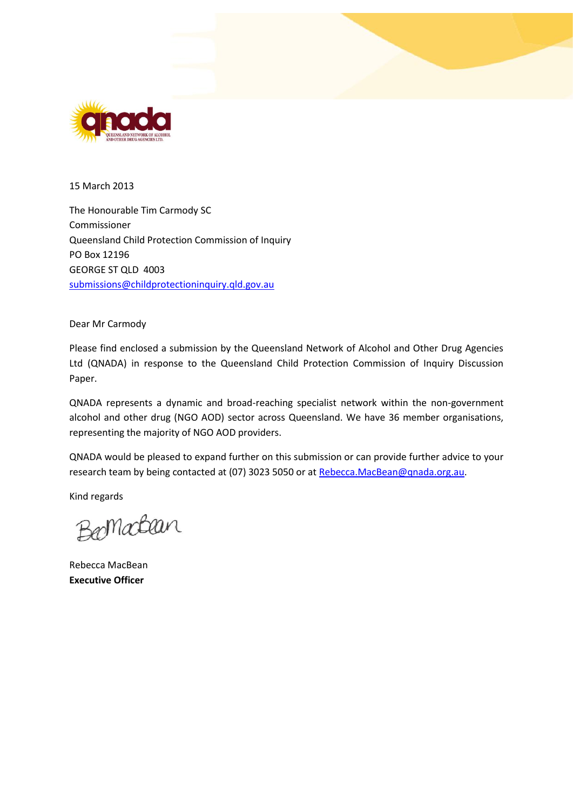

15 March 2013

The Honourable Tim Carmody SC Commissioner Queensland Child Protection Commission of Inquiry PO Box 12196 GEORGE ST QLD 4003 [submissions@childprotectioninquiry.qld.gov.au](mailto:submissions@childprotectioninquiry.qld.gov.au)

Dear Mr Carmody

Please find enclosed a submission by the Queensland Network of Alcohol and Other Drug Agencies Ltd (QNADA) in response to the Queensland Child Protection Commission of Inquiry Discussion Paper.

QNADA represents a dynamic and broad-reaching specialist network within the non-government alcohol and other drug (NGO AOD) sector across Queensland. We have 36 member organisations, representing the majority of NGO AOD providers.

QNADA would be pleased to expand further on this submission or can provide further advice to your research team by being contacted at (07) 3023 5050 or at [Rebecca.MacBean@qnada.org.au.](mailto:Rebecca.MacBean@qnada.org.au)

Kind regards

Bernachan

Rebecca MacBean **Executive Officer**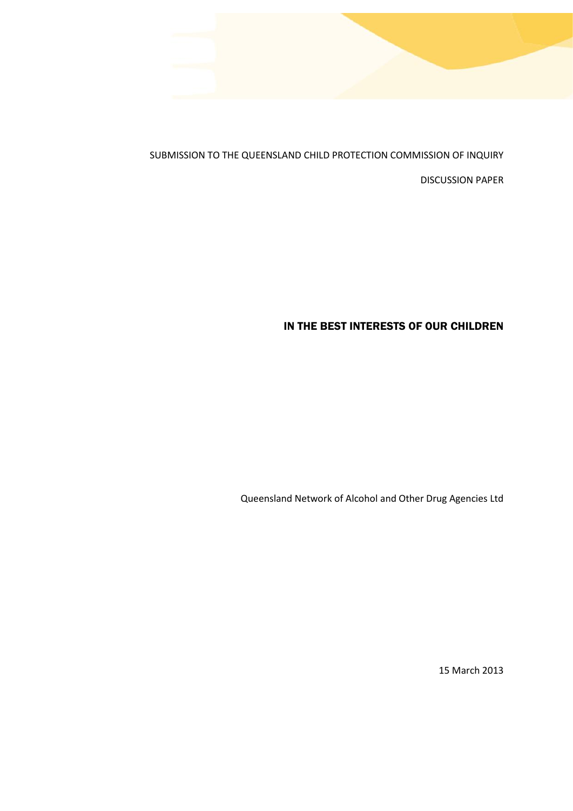

SUBMISSION TO THE QUEENSLAND CHILD PROTECTION COMMISSION OF INQUIRY

DISCUSSION PAPER

# IN THE BEST INTERESTS OF OUR CHILDREN

Queensland Network of Alcohol and Other Drug Agencies Ltd

15 March 2013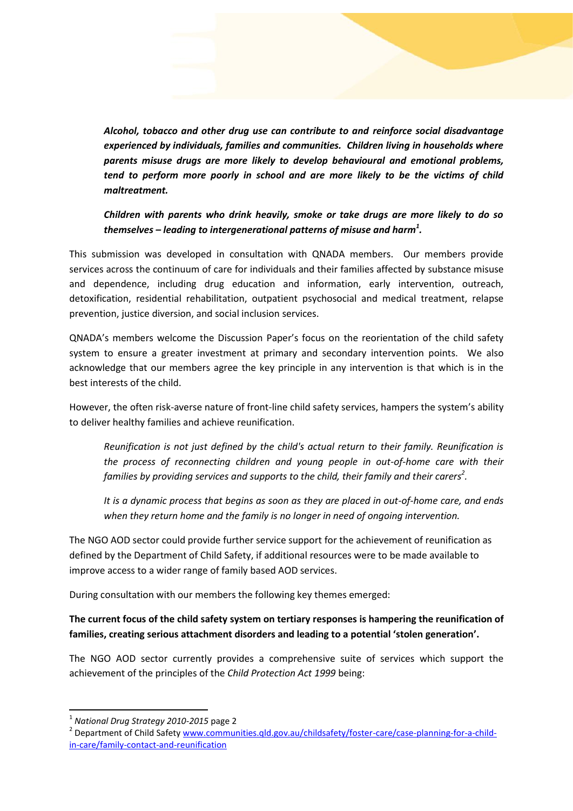

*Alcohol, tobacco and other drug use can contribute to and reinforce social disadvantage experienced by individuals, families and communities. Children living in households where parents misuse drugs are more likely to develop behavioural and emotional problems, tend to perform more poorly in school and are more likely to be the victims of child maltreatment.*

*Children with parents who drink heavily, smoke or take drugs are more likely to do so themselves – leading to intergenerational patterns of misuse and harm<sup>1</sup> .*

This submission was developed in consultation with QNADA members. Our members provide services across the continuum of care for individuals and their families affected by substance misuse and dependence, including drug education and information, early intervention, outreach, detoxification, residential rehabilitation, outpatient psychosocial and medical treatment, relapse prevention, justice diversion, and social inclusion services.

QNADA's members welcome the Discussion Paper's focus on the reorientation of the child safety system to ensure a greater investment at primary and secondary intervention points. We also acknowledge that our members agree the key principle in any intervention is that which is in the best interests of the child.

However, the often risk-averse nature of front-line child safety services, hampers the system's ability to deliver healthy families and achieve reunification.

*Reunification is not just defined by the child's actual return to their family. Reunification is the process of reconnecting children and young people in out-of-home care with their families by providing services and supports to the child, their family and their carers<sup>2</sup> .*

*It is a dynamic process that begins as soon as they are placed in out-of-home care, and ends when they return home and the family is no longer in need of ongoing intervention.*

The NGO AOD sector could provide further service support for the achievement of reunification as defined by the Department of Child Safety, if additional resources were to be made available to improve access to a wider range of family based AOD services.

During consultation with our members the following key themes emerged:

### **The current focus of the child safety system on tertiary responses is hampering the reunification of families, creating serious attachment disorders and leading to a potential 'stolen generation'.**

The NGO AOD sector currently provides a comprehensive suite of services which support the achievement of the principles of the *Child Protection Act 1999* being:

**.** 

<sup>1</sup> *National Drug Strategy 2010-2015* page 2

<sup>&</sup>lt;sup>2</sup> Department of Child Safety [www.communities.qld.gov.au/childsafety/foster-care/case-planning-for-a-child](http://www.communities.qld.gov.au/childsafety/foster-care/case-planning-for-a-child-in-care/family-contact-and-reunification)[in-care/family-contact-and-reunification](http://www.communities.qld.gov.au/childsafety/foster-care/case-planning-for-a-child-in-care/family-contact-and-reunification)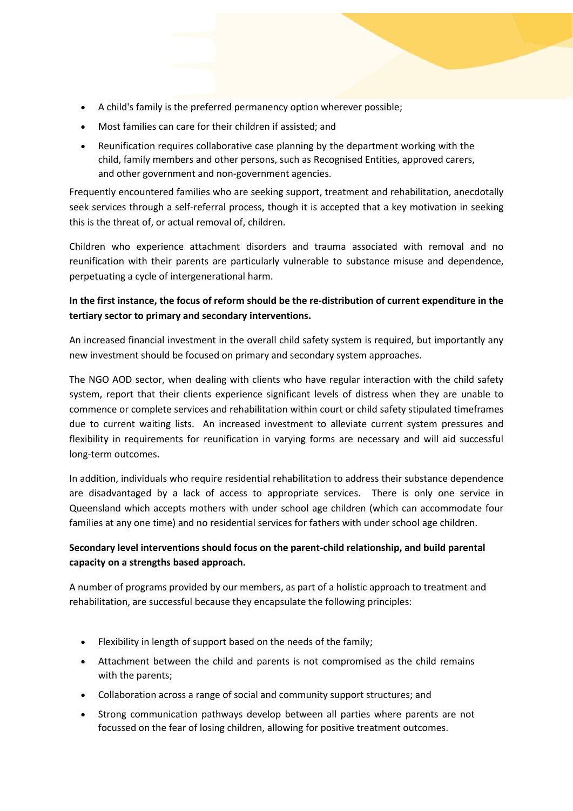- A child's family is the preferred permanency option wherever possible;
- Most families can care for their children if assisted; and
- Reunification requires collaborative case planning by the department working with the child, family members and other persons, such as [Recognised Entities,](http://www.communities.qld.gov.au/childsafety/partners/our-community-partners/indigenous-child-protection-services) approved carers, and other government and non-government agencies.

Frequently encountered families who are seeking support, treatment and rehabilitation, anecdotally seek services through a self-referral process, though it is accepted that a key motivation in seeking this is the threat of, or actual removal of, children.

Children who experience attachment disorders and trauma associated with removal and no reunification with their parents are particularly vulnerable to substance misuse and dependence, perpetuating a cycle of intergenerational harm.

# **In the first instance, the focus of reform should be the re-distribution of current expenditure in the tertiary sector to primary and secondary interventions.**

An increased financial investment in the overall child safety system is required, but importantly any new investment should be focused on primary and secondary system approaches.

The NGO AOD sector, when dealing with clients who have regular interaction with the child safety system, report that their clients experience significant levels of distress when they are unable to commence or complete services and rehabilitation within court or child safety stipulated timeframes due to current waiting lists. An increased investment to alleviate current system pressures and flexibility in requirements for reunification in varying forms are necessary and will aid successful long-term outcomes.

In addition, individuals who require residential rehabilitation to address their substance dependence are disadvantaged by a lack of access to appropriate services. There is only one service in Queensland which accepts mothers with under school age children (which can accommodate four families at any one time) and no residential services for fathers with under school age children.

# **Secondary level interventions should focus on the parent-child relationship, and build parental capacity on a strengths based approach.**

A number of programs provided by our members, as part of a holistic approach to treatment and rehabilitation, are successful because they encapsulate the following principles:

- Flexibility in length of support based on the needs of the family;
- Attachment between the child and parents is not compromised as the child remains with the parents;
- Collaboration across a range of social and community support structures; and
- Strong communication pathways develop between all parties where parents are not focussed on the fear of losing children, allowing for positive treatment outcomes.